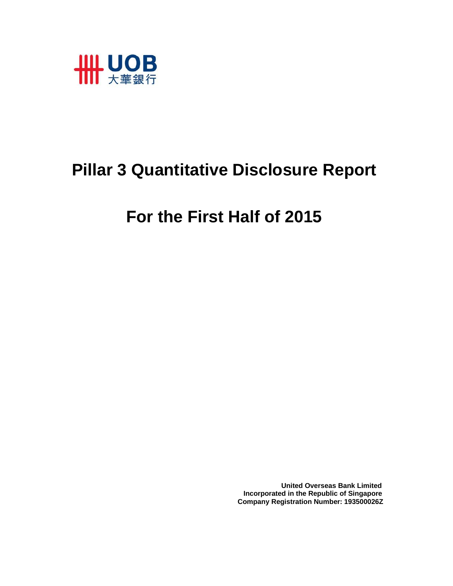

# **Pillar 3 Quantitative Disclosure Report**

# **For the First Half of 2015**

 **United Overseas Bank Limited Incorporated in the Republic of Singapore Company Registration Number: 193500026Z**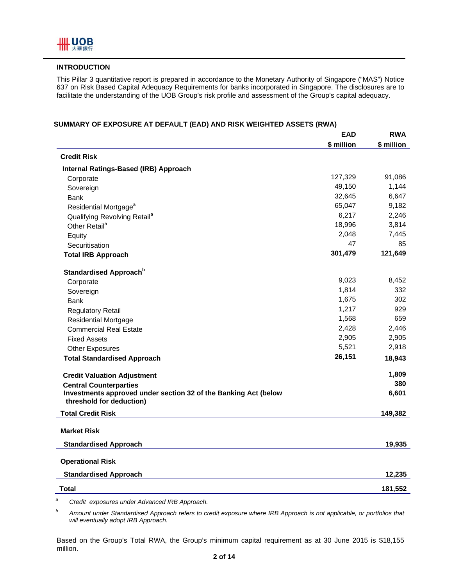#### **INTRODUCTION**

This Pillar 3 quantitative report is prepared in accordance to the Monetary Authority of Singapore ("MAS") Notice 637 on Risk Based Capital Adequacy Requirements for banks incorporated in Singapore. The disclosures are to facilitate the understanding of the UOB Group's risk profile and assessment of the Group's capital adequacy.

|                                                                                             | <b>EAD</b> | <b>RWA</b> |
|---------------------------------------------------------------------------------------------|------------|------------|
|                                                                                             | \$ million | \$ million |
| <b>Credit Risk</b>                                                                          |            |            |
| Internal Ratings-Based (IRB) Approach                                                       |            |            |
| Corporate                                                                                   | 127,329    | 91,086     |
| Sovereign                                                                                   | 49,150     | 1,144      |
| <b>Bank</b>                                                                                 | 32,645     | 6,647      |
| Residential Mortgage <sup>a</sup>                                                           | 65,047     | 9,182      |
| Qualifying Revolving Retail <sup>a</sup>                                                    | 6,217      | 2,246      |
| Other Retail <sup>a</sup>                                                                   | 18,996     | 3,814      |
| Equity                                                                                      | 2,048      | 7,445      |
| Securitisation                                                                              | 47         | 85         |
| <b>Total IRB Approach</b>                                                                   | 301,479    | 121,649    |
| Standardised Approach <sup>b</sup>                                                          |            |            |
| Corporate                                                                                   | 9,023      | 8,452      |
| Sovereign                                                                                   | 1,814      | 332        |
| <b>Bank</b>                                                                                 | 1,675      | 302        |
| <b>Regulatory Retail</b>                                                                    | 1,217      | 929        |
| <b>Residential Mortgage</b>                                                                 | 1,568      | 659        |
| <b>Commercial Real Estate</b>                                                               | 2,428      | 2,446      |
| <b>Fixed Assets</b>                                                                         | 2,905      | 2,905      |
| <b>Other Exposures</b>                                                                      | 5,521      | 2,918      |
| <b>Total Standardised Approach</b>                                                          | 26,151     | 18,943     |
| <b>Credit Valuation Adjustment</b>                                                          |            | 1,809      |
| <b>Central Counterparties</b>                                                               |            | 380        |
| Investments approved under section 32 of the Banking Act (below<br>threshold for deduction) |            | 6,601      |
| <b>Total Credit Risk</b>                                                                    |            | 149,382    |
| <b>Market Risk</b>                                                                          |            |            |
| <b>Standardised Approach</b>                                                                |            | 19,935     |
|                                                                                             |            |            |
| <b>Operational Risk</b>                                                                     |            |            |
| <b>Standardised Approach</b>                                                                |            | 12,235     |
| Total                                                                                       |            | 181,552    |

*a Credit exposures under Advanced IRB Approach.* 

*b Amount under Standardised Approach refers to credit exposure where IRB Approach is not applicable, or portfolios that will eventually adopt IRB Approach.* 

Based on the Group's Total RWA, the Group's minimum capital requirement as at 30 June 2015 is \$18,155 million.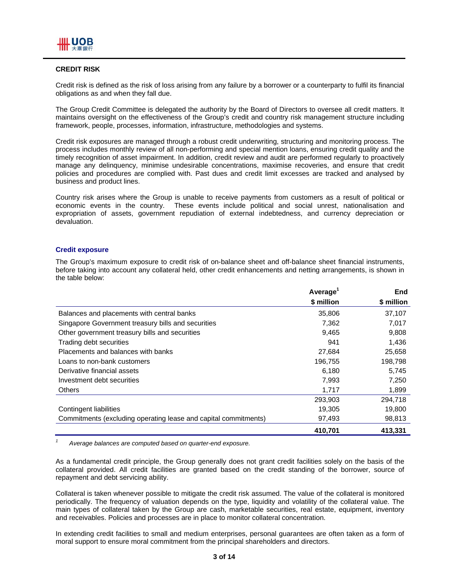#### **CREDIT RISK**

Credit risk is defined as the risk of loss arising from any failure by a borrower or a counterparty to fulfil its financial obligations as and when they fall due.

The Group Credit Committee is delegated the authority by the Board of Directors to oversee all credit matters. It maintains oversight on the effectiveness of the Group's credit and country risk management structure including framework, people, processes, information, infrastructure, methodologies and systems.

Credit risk exposures are managed through a robust credit underwriting, structuring and monitoring process. The process includes monthly review of all non-performing and special mention loans, ensuring credit quality and the timely recognition of asset impairment. In addition, credit review and audit are performed regularly to proactively manage any delinquency, minimise undesirable concentrations, maximise recoveries, and ensure that credit policies and procedures are complied with. Past dues and credit limit excesses are tracked and analysed by business and product lines.

Country risk arises where the Group is unable to receive payments from customers as a result of political or economic events in the country. These events include political and social unrest, nationalisation and expropriation of assets, government repudiation of external indebtedness, and currency depreciation or devaluation.

#### **Credit exposure**

*1*

The Group's maximum exposure to credit risk of on-balance sheet and off-balance sheet financial instruments, before taking into account any collateral held, other credit enhancements and netting arrangements, is shown in the table below:

|                                                                 | Average <sup>1</sup> | <b>End</b> |
|-----------------------------------------------------------------|----------------------|------------|
|                                                                 | \$ million           | \$ million |
| Balances and placements with central banks                      | 35,806               | 37,107     |
| Singapore Government treasury bills and securities              | 7,362                | 7,017      |
| Other government treasury bills and securities                  | 9,465                | 9,808      |
| Trading debt securities                                         | 941                  | 1,436      |
| Placements and balances with banks                              | 27,684               | 25,658     |
| Loans to non-bank customers                                     | 196,755              | 198,798    |
| Derivative financial assets                                     | 6,180                | 5,745      |
| Investment debt securities                                      | 7,993                | 7,250      |
| <b>Others</b>                                                   | 1,717                | 1,899      |
|                                                                 | 293,903              | 294.718    |
| Contingent liabilities                                          | 19,305               | 19,800     |
| Commitments (excluding operating lease and capital commitments) | 97,493               | 98,813     |
|                                                                 | 410.701              | 413,331    |

 *Average balances are computed based on quarter-end exposure.* 

As a fundamental credit principle, the Group generally does not grant credit facilities solely on the basis of the collateral provided. All credit facilities are granted based on the credit standing of the borrower, source of repayment and debt servicing ability.

Collateral is taken whenever possible to mitigate the credit risk assumed. The value of the collateral is monitored periodically. The frequency of valuation depends on the type, liquidity and volatility of the collateral value. The main types of collateral taken by the Group are cash, marketable securities, real estate, equipment, inventory and receivables. Policies and processes are in place to monitor collateral concentration.

In extending credit facilities to small and medium enterprises, personal guarantees are often taken as a form of moral support to ensure moral commitment from the principal shareholders and directors.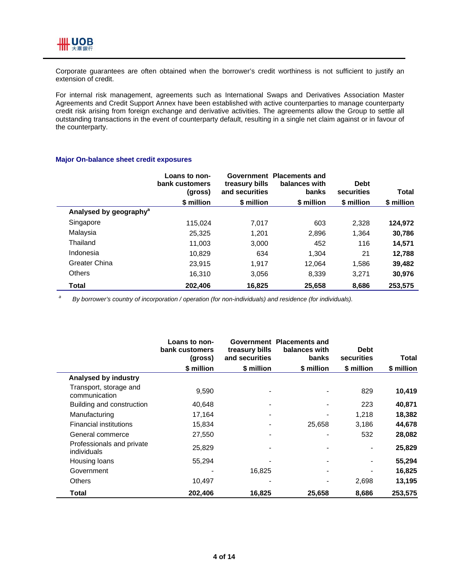

Corporate guarantees are often obtained when the borrower's credit worthiness is not sufficient to justify an extension of credit.

For internal risk management, agreements such as International Swaps and Derivatives Association Master Agreements and Credit Support Annex have been established with active counterparties to manage counterparty credit risk arising from foreign exchange and derivative activities. The agreements allow the Group to settle all outstanding transactions in the event of counterparty default, resulting in a single net claim against or in favour of the counterparty.

#### **Major On-balance sheet credit exposures**

|                                    | Loans to non-<br>bank customers<br>(gross) | Government<br>treasury bills<br>and securities | <b>Placements and</b><br>balances with<br>banks | <b>Debt</b><br>securities | <b>Total</b> |
|------------------------------------|--------------------------------------------|------------------------------------------------|-------------------------------------------------|---------------------------|--------------|
|                                    | \$ million                                 | \$ million                                     | \$ million                                      | \$ million                | \$ million   |
| Analysed by geography <sup>a</sup> |                                            |                                                |                                                 |                           |              |
| Singapore                          | 115.024                                    | 7.017                                          | 603                                             | 2,328                     | 124,972      |
| Malaysia                           | 25.325                                     | 1.201                                          | 2,896                                           | 1.364                     | 30,786       |
| Thailand                           | 11,003                                     | 3,000                                          | 452                                             | 116                       | 14,571       |
| Indonesia                          | 10.829                                     | 634                                            | 1.304                                           | 21                        | 12,788       |
| Greater China                      | 23.915                                     | 1,917                                          | 12,064                                          | 1,586                     | 39,482       |
| <b>Others</b>                      | 16.310                                     | 3,056                                          | 8,339                                           | 3.271                     | 30,976       |
| Total                              | 202.406                                    | 16,825                                         | 25.658                                          | 8.686                     | 253,575      |

*a By borrower's country of incorporation / operation (for non-individuals) and residence (for individuals).* 

|                                          | Loans to non-<br>bank customers<br>(gross) | treasury bills<br>and securities | Government Placements and<br>balances with<br>banks | <b>Debt</b><br>securities | Total      |
|------------------------------------------|--------------------------------------------|----------------------------------|-----------------------------------------------------|---------------------------|------------|
|                                          | \$ million                                 | \$ million                       | \$ million                                          | \$ million                | \$ million |
| Analysed by industry                     |                                            |                                  |                                                     |                           |            |
| Transport, storage and<br>communication  | 9,590                                      |                                  |                                                     | 829                       | 10,419     |
| Building and construction                | 40,648                                     |                                  |                                                     | 223                       | 40,871     |
| Manufacturing                            | 17,164                                     |                                  |                                                     | 1,218                     | 18,382     |
| <b>Financial institutions</b>            | 15,834                                     |                                  | 25,658                                              | 3,186                     | 44,678     |
| General commerce                         | 27,550                                     |                                  |                                                     | 532                       | 28,082     |
| Professionals and private<br>individuals | 25,829                                     |                                  |                                                     |                           | 25,829     |
| Housing loans                            | 55,294                                     |                                  |                                                     |                           | 55,294     |
| Government                               |                                            | 16,825                           |                                                     |                           | 16,825     |
| <b>Others</b>                            | 10,497                                     |                                  |                                                     | 2,698                     | 13,195     |
| Total                                    | 202,406                                    | 16,825                           | 25,658                                              | 8,686                     | 253,575    |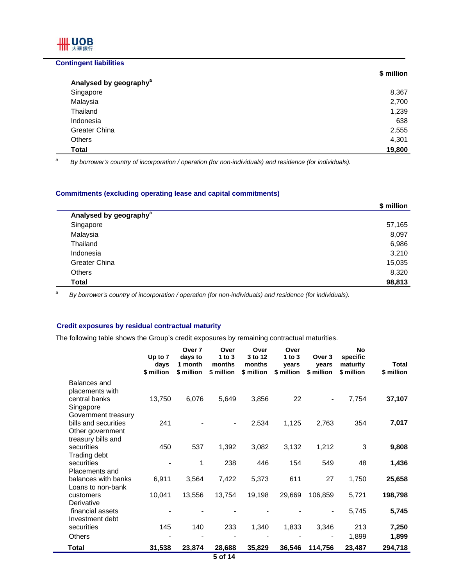#### **Contingent liabilities**

IIII UOB 大華銀行

 $\overline{a}$ 

| \$ million |
|------------|
|            |
| 8,367      |
| 2,700      |
| 1,239      |
| 638        |
| 2,555      |
| 4,301      |
| 19,800     |
|            |

*a By borrower's country of incorporation / operation (for non-individuals) and residence (for individuals).* 

#### **Commitments (excluding operating lease and capital commitments)**

|                                    | \$ million |
|------------------------------------|------------|
| Analysed by geography <sup>a</sup> |            |
| Singapore                          | 57,165     |
| Malaysia                           | 8,097      |
| Thailand                           | 6,986      |
| Indonesia                          | 3,210      |
| Greater China                      | 15,035     |
| Others                             | 8,320      |
| <b>Total</b>                       | 98,813     |

*a By borrower's country of incorporation / operation (for non-individuals) and residence (for individuals).*

#### **Credit exposures by residual contractual maturity**

The following table shows the Group's credit exposures by remaining contractual maturities.

|                              | Up to 7    | Over 7<br>days to | Over<br>1 to $3$ | Over<br>3 to 12 | Over<br>1 to $3$ | Over 3         | <b>No</b><br>specific |              |
|------------------------------|------------|-------------------|------------------|-----------------|------------------|----------------|-----------------------|--------------|
|                              | days       | 1 month           | months           | months          | vears            | vears          | maturity              | <b>Total</b> |
|                              | \$ million | \$ million        | \$ million       | \$ million      | \$ million       | \$ million     | \$ million            | \$ million   |
| Balances and                 |            |                   |                  |                 |                  |                |                       |              |
| placements with              |            |                   |                  |                 |                  |                |                       |              |
| central banks                | 13,750     | 6,076             | 5,649            | 3,856           | 22               |                | 7,754                 | 37,107       |
| Singapore                    |            |                   |                  |                 |                  |                |                       |              |
| Government treasury          |            |                   |                  |                 |                  |                |                       |              |
| bills and securities         | 241        |                   | $\blacksquare$   | 2,534           | 1,125            | 2,763          | 354                   | 7,017        |
| Other government             |            |                   |                  |                 |                  |                |                       |              |
| treasury bills and           |            |                   |                  |                 |                  |                |                       |              |
| securities                   | 450        | 537               | 1,392            | 3,082           | 3,132            | 1,212          | 3                     | 9,808        |
| Trading debt                 |            | 1                 |                  |                 |                  |                |                       |              |
| securities<br>Placements and |            |                   | 238              | 446             | 154              | 549            | 48                    | 1,436        |
| balances with banks          | 6,911      | 3,564             | 7,422            | 5,373           | 611              | 27             | 1,750                 | 25,658       |
| Loans to non-bank            |            |                   |                  |                 |                  |                |                       |              |
| customers                    | 10,041     | 13,556            | 13,754           | 19,198          | 29,669           | 106,859        | 5,721                 | 198,798      |
| Derivative                   |            |                   |                  |                 |                  |                |                       |              |
| financial assets             |            |                   |                  |                 |                  |                | 5,745                 | 5,745        |
| Investment debt              |            |                   |                  |                 |                  |                |                       |              |
| securities                   | 145        | 140               | 233              | 1,340           | 1,833            | 3,346          | 213                   | 7,250        |
| <b>Others</b>                |            |                   |                  |                 |                  | $\blacksquare$ | 1,899                 | 1,899        |
| Total                        | 31,538     | 23,874            | 28,688           | 35,829          | 36,546           | 114,756        | 23,487                | 294,718      |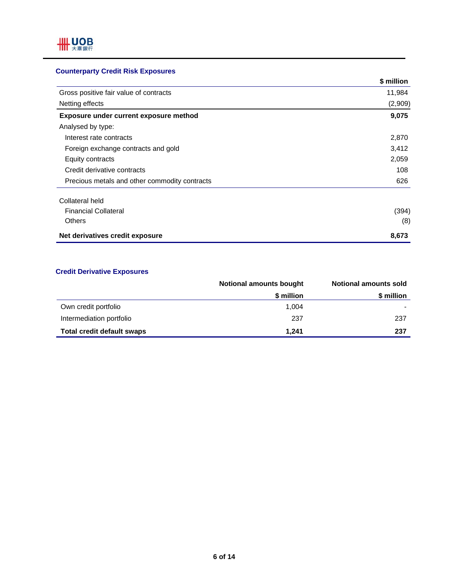### **Counterparty Credit Risk Exposures**

|                                               | \$ million |
|-----------------------------------------------|------------|
| Gross positive fair value of contracts        | 11,984     |
| Netting effects                               | (2,909)    |
| Exposure under current exposure method        | 9,075      |
| Analysed by type:                             |            |
| Interest rate contracts                       | 2,870      |
| Foreign exchange contracts and gold           | 3,412      |
| Equity contracts                              | 2,059      |
| Credit derivative contracts                   | 108        |
| Precious metals and other commodity contracts | 626        |
| Collateral held                               |            |
| <b>Financial Collateral</b>                   | (394)      |
| <b>Others</b>                                 | (8)        |
| Net derivatives credit exposure               | 8,673      |

#### **Credit Derivative Exposures**

|                                   | <b>Notional amounts bought</b> | <b>Notional amounts sold</b> |
|-----------------------------------|--------------------------------|------------------------------|
|                                   | \$ million                     | \$ million                   |
| Own credit portfolio              | 1.004                          |                              |
| Intermediation portfolio          | 237                            | 237                          |
| <b>Total credit default swaps</b> | 1.241                          | 237                          |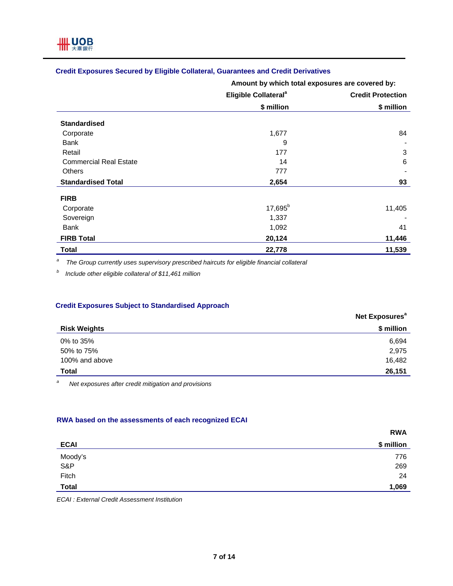#### **Credit Exposures Secured by Eligible Collateral, Guarantees and Credit Derivatives**

**Amount by which total exposures are covered by:**

|                               | Eligible Collateral <sup>a</sup> | <b>Credit Protection</b> |
|-------------------------------|----------------------------------|--------------------------|
|                               | \$ million                       | \$ million               |
| <b>Standardised</b>           |                                  |                          |
| Corporate                     | 1,677                            | 84                       |
| Bank                          | 9                                |                          |
| Retail                        | 177                              | 3                        |
| <b>Commercial Real Estate</b> | 14                               | 6                        |
| Others                        | 777                              |                          |
| <b>Standardised Total</b>     | 2,654                            | 93                       |
| <b>FIRB</b>                   |                                  |                          |
| Corporate                     | $17,695^{b}$                     | 11,405                   |
| Sovereign                     | 1,337                            |                          |
| <b>Bank</b>                   | 1,092                            | 41                       |
| <b>FIRB Total</b>             | 20,124                           | 11,446                   |
| <b>Total</b>                  | 22,778                           | 11,539                   |

*a The Group currently uses supervisory prescribed haircuts for eligible financial collateral* 

*b Include other eligible collateral of \$11,461 million* 

#### **Credit Exposures Subject to Standardised Approach**

|                     | Net Exposures <sup>a</sup> |
|---------------------|----------------------------|
| <b>Risk Weights</b> | \$ million                 |
| 0% to 35%           | 6,694                      |
| 50% to 75%          | 2,975                      |
| 100% and above      | 16,482                     |
| <b>Total</b>        | 26,151                     |

*a Net exposures after credit mitigation and provisions* 

#### **RWA based on the assessments of each recognized ECAI**

|                | <b>RWA</b> |
|----------------|------------|
| <b>ECAI</b>    | \$ million |
|                | 776        |
| Moody's<br>S&P | 269        |
| Fitch          | 24         |
| <b>Total</b>   | 1,069      |

*ECAI : External Credit Assessment Institution*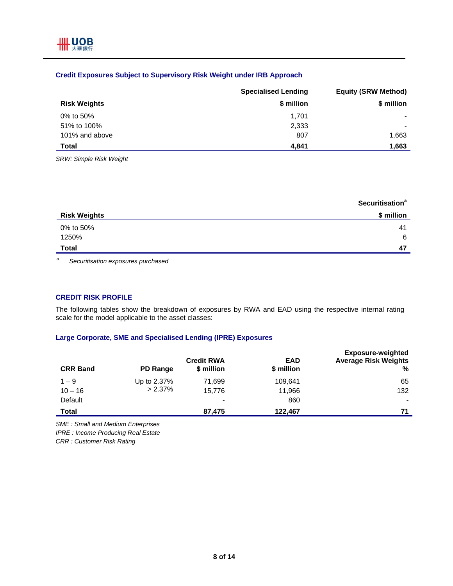#### **Credit Exposures Subject to Supervisory Risk Weight under IRB Approach**

|                     | <b>Specialised Lending</b> | <b>Equity (SRW Method)</b> |  |
|---------------------|----------------------------|----------------------------|--|
| <b>Risk Weights</b> | \$ million                 | \$ million                 |  |
| 0% to 50%           | 1,701                      |                            |  |
| 51% to 100%         | 2,333                      |                            |  |
| 101% and above      | 807                        | 1,663                      |  |
| <b>Total</b>        | 4.841                      | 1,663                      |  |

*SRW: Simple Risk Weight* 

|                     | <b>Securitisation<sup>a</sup></b> |
|---------------------|-----------------------------------|
| <b>Risk Weights</b> | \$ million                        |
| 0% to 50%           | 41                                |
| 1250%               | 6                                 |
| <b>Total</b>        | 47                                |
|                     |                                   |

*a Securitisation exposures purchased* 

#### **CREDIT RISK PROFILE**

The following tables show the breakdown of exposures by RWA and EAD using the respective internal rating scale for the model applicable to the asset classes:

#### **Large Corporate, SME and Specialised Lending (IPRE) Exposures**

| <b>CRR Band</b> | PD Range    | <b>Credit RWA</b><br>\$ million | <b>EAD</b><br>\$ million | <b>Exposure-weighted</b><br><b>Average Risk Weights</b><br>℅ |
|-----------------|-------------|---------------------------------|--------------------------|--------------------------------------------------------------|
| $1 - 9$         | Up to 2.37% | 71.699                          | 109.641                  | 65                                                           |
| $10 - 16$       | $> 2.37\%$  | 15.776                          | 11,966                   | 132                                                          |
| Default         |             | $\,$                            | 860                      |                                                              |
| <b>Total</b>    |             | 87,475                          | 122,467                  | 71                                                           |

*SME : Small and Medium Enterprises* 

*IPRE : Income Producing Real Estate* 

*CRR : Customer Risk Rating*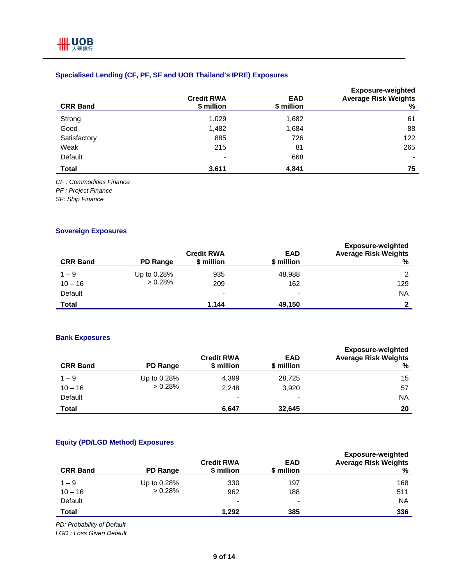#### **Specialised Lending (CF, PF, SF and UOB Thailand's IPRE) Exposures**

| <b>CRR Band</b> | <b>Credit RWA</b><br>\$ million | <b>EAD</b><br>\$ million | <b>Exposure-weighted</b><br><b>Average Risk Weights</b><br>% |
|-----------------|---------------------------------|--------------------------|--------------------------------------------------------------|
| Strong          | 1,029                           | 1,682                    | 61                                                           |
| Good            | 1,482                           | 1,684                    | 88                                                           |
| Satisfactory    | 885                             | 726                      | 122                                                          |
| Weak            | 215                             | 81                       | 265                                                          |
| Default         | $\overline{\phantom{0}}$        | 668                      | -                                                            |
| <b>Total</b>    | 3,611                           | 4,841                    | 75                                                           |

*CF : Commodities Finance* 

*PF : Project Finance* 

*SF: Ship Finance* 

#### **Sovereign Exposures**

| <b>CRR Band</b> | PD Range    | <b>Credit RWA</b><br>\$ million | <b>EAD</b><br>\$ million | <b>Exposure-weighted</b><br><b>Average Risk Weights</b><br>℅ |
|-----------------|-------------|---------------------------------|--------------------------|--------------------------------------------------------------|
| $1 - 9$         | Up to 0.28% | 935                             | 48,988                   | $\overline{2}$                                               |
| $10 - 16$       | > 0.28%     | 209                             | 162                      | 129                                                          |
| Default         |             | -                               | $\,$                     | <b>NA</b>                                                    |
| <b>Total</b>    |             | 1.144                           | 49,150                   |                                                              |

#### **Bank Exposures**

| <b>CRR Band</b> | <b>PD Range</b> | <b>Credit RWA</b><br>\$ million | <b>EAD</b><br>\$ million | <b>Exposure-weighted</b><br><b>Average Risk Weights</b><br>% |
|-----------------|-----------------|---------------------------------|--------------------------|--------------------------------------------------------------|
| $1 - 9$         | Up to 0.28%     | 4,399                           | 28,725                   | 15                                                           |
| $10 - 16$       | $> 0.28\%$      | 2,248                           | 3,920                    | 57                                                           |
| Default         |                 | $\overline{\phantom{0}}$        |                          | ΝA                                                           |
| <b>Total</b>    |                 | 6,647                           | 32.645                   | 20                                                           |

#### **Equity (PD/LGD Method) Exposures**

| <b>CRR Band</b> | PD Range    | <b>Credit RWA</b><br>\$ million | <b>EAD</b><br>\$ million | <b>Exposure-weighted</b><br><b>Average Risk Weights</b><br>℅ |
|-----------------|-------------|---------------------------------|--------------------------|--------------------------------------------------------------|
| $1 - 9$         | Up to 0.28% | 330                             | 197                      | 168                                                          |
| $10 - 16$       | $> 0.28\%$  | 962                             | 188                      | 511                                                          |
| Default         |             | $\blacksquare$                  | $\overline{\phantom{0}}$ | <b>NA</b>                                                    |
| Total           |             | 1.292                           | 385                      | 336                                                          |

*PD: Probability of Default* 

*LGD : Loss Given Default*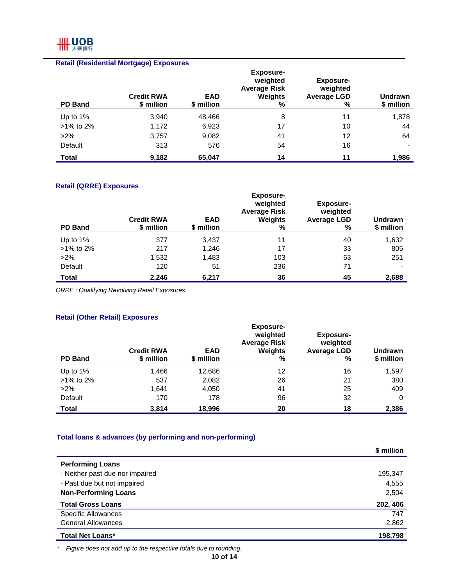## **HH UOB**

|                | <b>Retail (Residential Mortgage) Exposures</b> |                          |                                                                     |                                                         |                              |
|----------------|------------------------------------------------|--------------------------|---------------------------------------------------------------------|---------------------------------------------------------|------------------------------|
| <b>PD Band</b> | <b>Credit RWA</b><br>\$ million                | <b>EAD</b><br>\$ million | <b>Exposure-</b><br>weighted<br><b>Average Risk</b><br>Weights<br>% | <b>Exposure-</b><br>weighted<br><b>Average LGD</b><br>% | <b>Undrawn</b><br>\$ million |
| Up to $1\%$    | 3,940                                          | 48,466                   | 8                                                                   | 11                                                      | 1,878                        |
| $>1\%$ to 2%   | 1,172                                          | 6,923                    | 17                                                                  | 10                                                      | 44                           |
| $>2\%$         | 3,757                                          | 9,082                    | 41                                                                  | 12                                                      | 64                           |
| Default        | 313                                            | 576                      | 54                                                                  | 16                                                      |                              |
| Total          | 9,182                                          | 65,047                   | 14                                                                  | 11                                                      | 1,986                        |

#### **Retail (QRRE) Exposures**

| <b>PD Band</b> | <b>Credit RWA</b><br>\$ million | <b>EAD</b><br>\$ million | <b>Exposure-</b><br>weighted<br><b>Average Risk</b><br>Weights<br>% | <b>Exposure-</b><br>weighted<br><b>Average LGD</b><br>% | <b>Undrawn</b><br>\$ million |
|----------------|---------------------------------|--------------------------|---------------------------------------------------------------------|---------------------------------------------------------|------------------------------|
| Up to $1\%$    | 377                             | 3.437                    | 11                                                                  | 40                                                      | 1,632                        |
| >1% to 2%      | 217                             | 1,246                    | 17                                                                  | 33                                                      | 805                          |
| $>2\%$         | 1,532                           | 1,483                    | 103                                                                 | 63                                                      | 251                          |
| Default        | 120                             | 51                       | 236                                                                 | 71                                                      |                              |
| Total          | 2,246                           | 6,217                    | 36                                                                  | 45                                                      | 2,688                        |

*QRRE : Qualifying Revolving Retail Exposures* 

#### **Retail (Other Retail) Exposures**

| <b>PD Band</b> | <b>Credit RWA</b><br>\$ million | <b>EAD</b><br>\$ million | <b>Exposure-</b><br>weighted<br><b>Average Risk</b><br>Weights<br>% | <b>Exposure-</b><br>weighted<br><b>Average LGD</b><br>% | <b>Undrawn</b><br>\$ million |
|----------------|---------------------------------|--------------------------|---------------------------------------------------------------------|---------------------------------------------------------|------------------------------|
| Up to 1%       | 1,466                           | 12,686                   | 12                                                                  | 16                                                      | 1,597                        |
| >1% to 2%      | 537                             | 2,082                    | 26                                                                  | 21                                                      | 380                          |
| $>2\%$         | 1.641                           | 4,050                    | 41                                                                  | 25                                                      | 409                          |
| Default        | 170                             | 178                      | 96                                                                  | 32                                                      | 0                            |
| <b>Total</b>   | 3,814                           | 18,996                   | 20                                                                  | 18                                                      | 2,386                        |

### **Total loans & advances (by performing and non-performing)**

|                                 | \$ million |
|---------------------------------|------------|
| <b>Performing Loans</b>         |            |
| - Neither past due nor impaired | 195,347    |
| - Past due but not impaired     | 4,555      |
| <b>Non-Performing Loans</b>     | 2,504      |
| <b>Total Gross Loans</b>        | 202, 406   |
| <b>Specific Allowances</b>      | 747        |
| <b>General Allowances</b>       | 2,862      |
| <b>Total Net Loans*</b>         | 198,798    |

*\* Figure does not add up to the respective totals due to rounding.*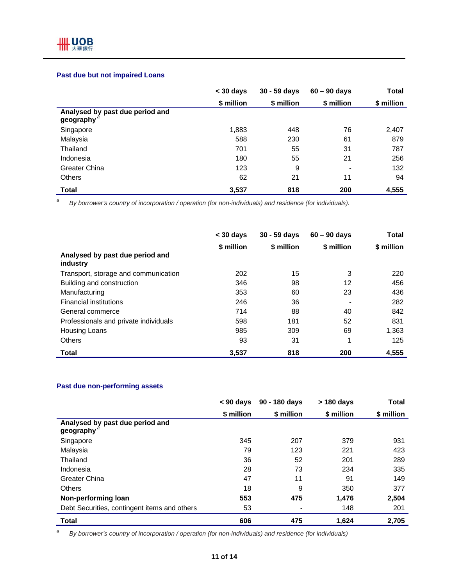#### **Past due but not impaired Loans**

|                                                           | $<$ 30 days | $30 - 59$ days | $60 - 90$ days           | Total      |
|-----------------------------------------------------------|-------------|----------------|--------------------------|------------|
|                                                           | \$ million  | \$ million     | \$ million               | \$ million |
| Analysed by past due period and<br>geography <sup>a</sup> |             |                |                          |            |
| Singapore                                                 | 1,883       | 448            | 76                       | 2,407      |
| Malaysia                                                  | 588         | 230            | 61                       | 879        |
| Thailand                                                  | 701         | 55             | 31                       | 787        |
| Indonesia                                                 | 180         | 55             | 21                       | 256        |
| Greater China                                             | 123         | 9              | $\overline{\phantom{a}}$ | 132        |
| <b>Others</b>                                             | 62          | 21             | 11                       | 94         |
| <b>Total</b>                                              | 3,537       | 818            | 200                      | 4,555      |

*a By borrower's country of incorporation / operation (for non-individuals) and residence (for individuals).* 

|                                             | $<$ 30 days | 30 - 59 days | $60 - 90$ days | <b>Total</b> |
|---------------------------------------------|-------------|--------------|----------------|--------------|
|                                             | \$ million  | \$ million   | \$ million     | \$ million   |
| Analysed by past due period and<br>industry |             |              |                |              |
| Transport, storage and communication        | 202         | 15           | 3              | 220          |
| Building and construction                   | 346         | 98           | 12             | 456          |
| Manufacturing                               | 353         | 60           | 23             | 436          |
| <b>Financial institutions</b>               | 246         | 36           |                | 282          |
| General commerce                            | 714         | 88           | 40             | 842          |
| Professionals and private individuals       | 598         | 181          | 52             | 831          |
| Housing Loans                               | 985         | 309          | 69             | 1,363        |
| Others                                      | 93          | 31           | 4              | 125          |
| Total                                       | 3,537       | 818          | 200            | 4,555        |

#### **Past due non-performing assets**

|                                              | $< 90 \text{ days}$ | 90 - 180 days | > 180 days | <b>Total</b> |
|----------------------------------------------|---------------------|---------------|------------|--------------|
|                                              | \$ million          | \$ million    | \$ million | \$ million   |
| Analysed by past due period and<br>geography |                     |               |            |              |
| Singapore                                    | 345                 | 207           | 379        | 931          |
| Malaysia                                     | 79                  | 123           | 221        | 423          |
| Thailand                                     | 36                  | 52            | 201        | 289          |
| Indonesia                                    | 28                  | 73            | 234        | 335          |
| Greater China                                | 47                  | 11            | 91         | 149          |
| <b>Others</b>                                | 18                  | 9             | 350        | 377          |
| Non-performing loan                          | 553                 | 475           | 1.476      | 2,504        |
| Debt Securities, contingent items and others | 53                  |               | 148        | 201          |
| <b>Total</b>                                 | 606                 | 475           | 1,624      | 2,705        |

*a By borrower's country of incorporation / operation (for non-individuals) and residence (for individuals)*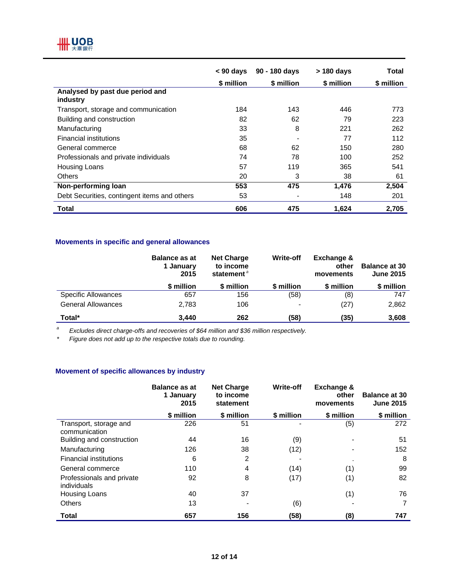## **HH UOB**

|                                              | $< 90$ days | 90 - 180 days | > 180 days | Total      |
|----------------------------------------------|-------------|---------------|------------|------------|
|                                              | \$ million  | \$ million    | \$ million | \$ million |
| Analysed by past due period and<br>industry  |             |               |            |            |
| Transport, storage and communication         | 184         | 143           | 446        | 773        |
| Building and construction                    | 82          | 62            | 79         | 223        |
| Manufacturing                                | 33          | 8             | 221        | 262        |
| <b>Financial institutions</b>                | 35          |               | 77         | 112        |
| General commerce                             | 68          | 62            | 150        | 280        |
| Professionals and private individuals        | 74          | 78            | 100        | 252        |
| <b>Housing Loans</b>                         | 57          | 119           | 365        | 541        |
| <b>Others</b>                                | 20          | 3             | 38         | 61         |
| Non-performing loan                          | 553         | 475           | 1,476      | 2,504      |
| Debt Securities, contingent items and others | 53          |               | 148        | 201        |
| <b>Total</b>                                 | 606         | 475           | 1.624      | 2.705      |

#### **Movements in specific and general allowances**

|                           | <b>Balance as at</b><br>1 January<br>2015 | <b>Net Charge</b><br>to income<br>statement <sup>a</sup> | <b>Write-off</b> | Exchange &<br>other<br>movements | <b>Balance at 30</b><br><b>June 2015</b> |
|---------------------------|-------------------------------------------|----------------------------------------------------------|------------------|----------------------------------|------------------------------------------|
|                           | \$ million                                | \$ million                                               | \$ million       | \$ million                       | \$ million                               |
| Specific Allowances       | 657                                       | 156                                                      | (58)             | (8)                              | 747                                      |
| <b>General Allowances</b> | 2.783                                     | 106                                                      | $\blacksquare$   | (27)                             | 2,862                                    |
| Total*                    | 3.440                                     | 262                                                      | (58)             | (35)                             | 3,608                                    |

*a Excludes direct charge-offs and recoveries of \$64 million and \$36 million respectively.*

*\* Figure does not add up to the respective totals due to rounding.* 

#### **Movement of specific allowances by industry**

|                                          | <b>Balance as at</b><br>1 January<br>2015 | <b>Net Charge</b><br>to income<br>statement | <b>Write-off</b> | <b>Exchange &amp;</b><br>other<br>movements | <b>Balance at 30</b><br><b>June 2015</b> |
|------------------------------------------|-------------------------------------------|---------------------------------------------|------------------|---------------------------------------------|------------------------------------------|
|                                          | \$ million                                | \$ million                                  | \$ million       | \$ million                                  | \$ million                               |
| Transport, storage and<br>communication  | 226                                       | 51                                          |                  | (5)                                         | 272                                      |
| Building and construction                | 44                                        | 16                                          | (9)              | $\blacksquare$                              | 51                                       |
| Manufacturing                            | 126                                       | 38                                          | (12)             |                                             | 152                                      |
| <b>Financial institutions</b>            | 6                                         | $\overline{2}$                              |                  |                                             | 8                                        |
| General commerce                         | 110                                       | 4                                           | (14)             | (1)                                         | 99                                       |
| Professionals and private<br>individuals | 92                                        | 8                                           | (17)             | (1)                                         | 82                                       |
| Housing Loans                            | 40                                        | 37                                          |                  | (1)                                         | 76                                       |
| <b>Others</b>                            | 13                                        |                                             | (6)              |                                             | 7                                        |
| <b>Total</b>                             | 657                                       | 156                                         | (58)             | (8)                                         | 747                                      |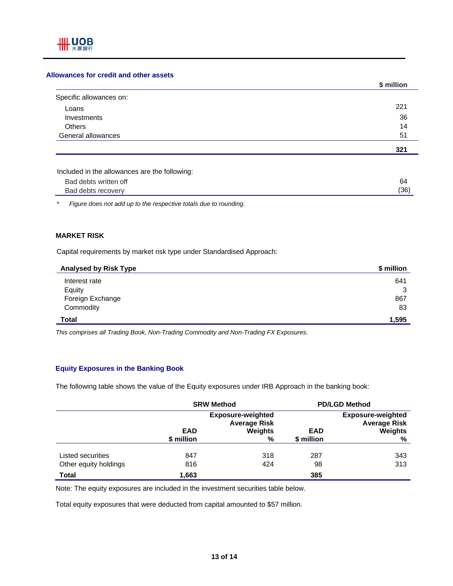#### **Allowances for credit and other assets**

|                         | \$ million |
|-------------------------|------------|
| Specific allowances on: |            |
| Loans                   | 221        |
| Investments             | 36         |
| <b>Others</b>           | 14         |
| General allowances      | 51         |
|                         | 321        |

| Included in the allowances are the following: |  |
|-----------------------------------------------|--|
|-----------------------------------------------|--|

| Bad debts written off | ٥        |
|-----------------------|----------|
| Bad debts recovery    | 12F<br>◡ |

*\* Figure does not add up to the respective totals due to rounding.* 

#### **MARKET RISK**

Capital requirements by market risk type under Standardised Approach:

| <b>Analysed by Risk Type</b> | \$ million |
|------------------------------|------------|
| Interest rate                | 641        |
| Equity                       | 3          |
| Foreign Exchange             | 867        |
| Commodity                    | 83         |
| <b>Total</b>                 | 1,595      |

*This comprises all Trading Book, Non-Trading Commodity and Non-Trading FX Exposures.* 

#### **Equity Exposures in the Banking Book**

The following table shows the value of the Equity exposures under IRB Approach in the banking book:

|                       | <b>SRW Method</b>                               |              | <b>PD/LGD Method</b>     |                                                 |
|-----------------------|-------------------------------------------------|--------------|--------------------------|-------------------------------------------------|
|                       | <b>Exposure-weighted</b><br><b>Average Risk</b> |              |                          | <b>Exposure-weighted</b><br><b>Average Risk</b> |
|                       | <b>EAD</b><br>\$ million                        | Weights<br>% | <b>EAD</b><br>\$ million | Weights<br>%                                    |
|                       |                                                 |              |                          |                                                 |
| Listed securities     | 847                                             | 318          | 287                      | 343                                             |
| Other equity holdings | 816                                             | 424          | 98                       | 313                                             |
| Total                 | 1,663                                           |              | 385                      |                                                 |

Note: The equity exposures are included in the investment securities table below.

Total equity exposures that were deducted from capital amounted to \$57 million.